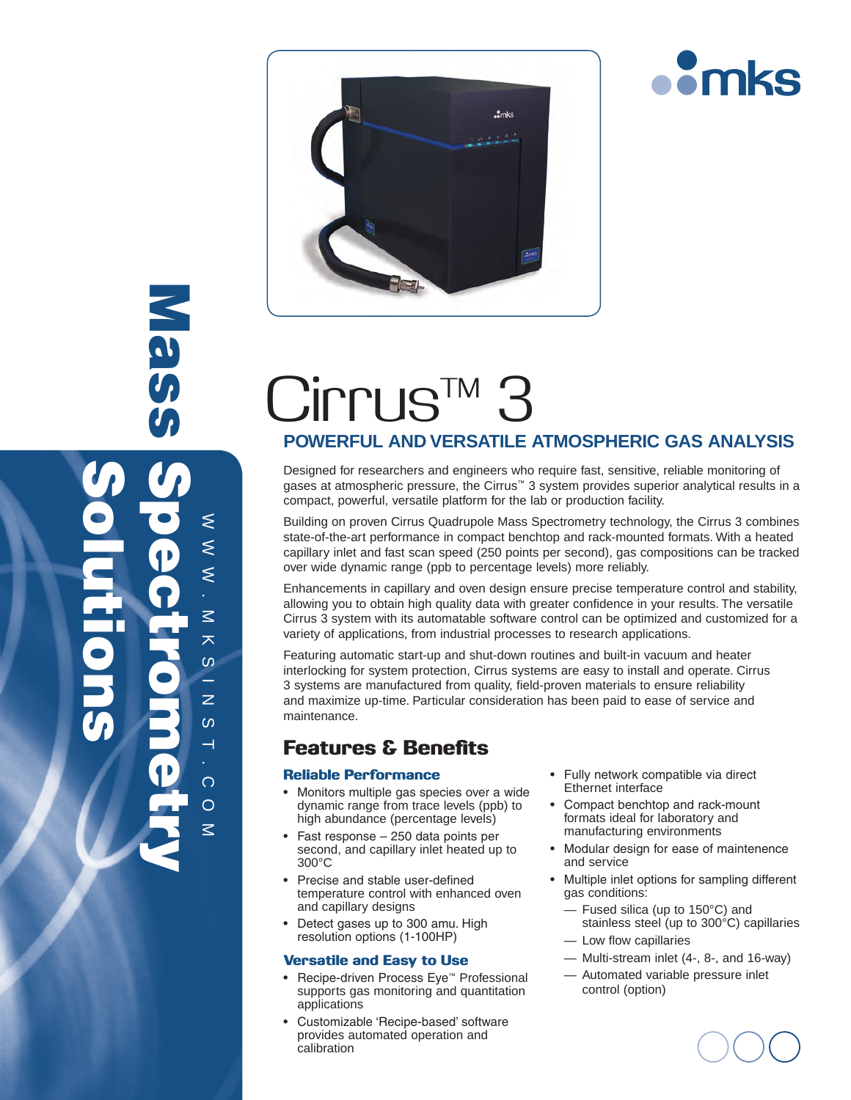



# Cirrus<sup>TM</sup>

### **POWERFUL AND VERSATILE ATMOSPHERIC GAS ANALYSIS**

Designed for researchers and engineers who require fast, sensitive, reliable monitoring of gases at atmospheric pressure, the Cirrus™ 3 system provides superior analytical results in a compact, powerful, versatile platform for the lab or production facility.

Building on proven Cirrus Quadrupole Mass Spectrometry technology, the Cirrus 3 combines state-of-the-art performance in compact benchtop and rack-mounted formats. With a heated capillary inlet and fast scan speed (250 points per second), gas compositions can be tracked over wide dynamic range (ppb to percentage levels) more reliably.

Enhancements in capillary and oven design ensure precise temperature control and stability, allowing you to obtain high quality data with greater confidence in your results. The versatile Cirrus 3 system with its automatable software control can be optimized and customized for a variety of applications, from industrial processes to research applications.

Featuring automatic start-up and shut-down routines and built-in vacuum and heater interlocking for system protection, Cirrus systems are easy to install and operate. Cirrus 3 systems are manufactured from quality, field-proven materials to ensure reliability and maximize up-time. Particular consideration has been paid to ease of service and maintenance.

## Features & Benefits

#### Reliable Performance

 $\approx$   $\approx$ 

⋚  $\leq$  $\leq$ 

Mass

.

 $\leq$ 大  $\omega$ e.  $\overline{z}$  $\Omega$  $\rightarrow$ 

Solutions

M K S I N S I

Spectrometry

.  $\overline{O}$ o  $\overline{z}$ 

- Monitors multiple gas species over a wide dynamic range from trace levels (ppb) to high abundance (percentage levels)
- Fast response 250 data points per second, and capillary inlet heated up to 300°C
- • Precise and stable user-defined temperature control with enhanced oven and capillary designs
- Detect gases up to 300 amu. High resolution options (1-100HP)

#### Versatile and Easy to Use

- • Recipe-driven Process Eye™ Professional supports gas monitoring and quantitation applications
- Customizable 'Recipe-based' software provides automated operation and calibration
- Fully network compatible via direct Ethernet interface
- • Compact benchtop and rack-mount formats ideal for laboratory and manufacturing environments
- • Modular design for ease of maintenence and service
- Multiple inlet options for sampling different gas conditions:
	- Fused silica (up to 150°C) and stainless steel (up to 300°C) capillaries
	- Low flow capillaries
	- Multi-stream inlet (4-, 8-, and 16-way)
	- Automated variable pressure inlet control (option)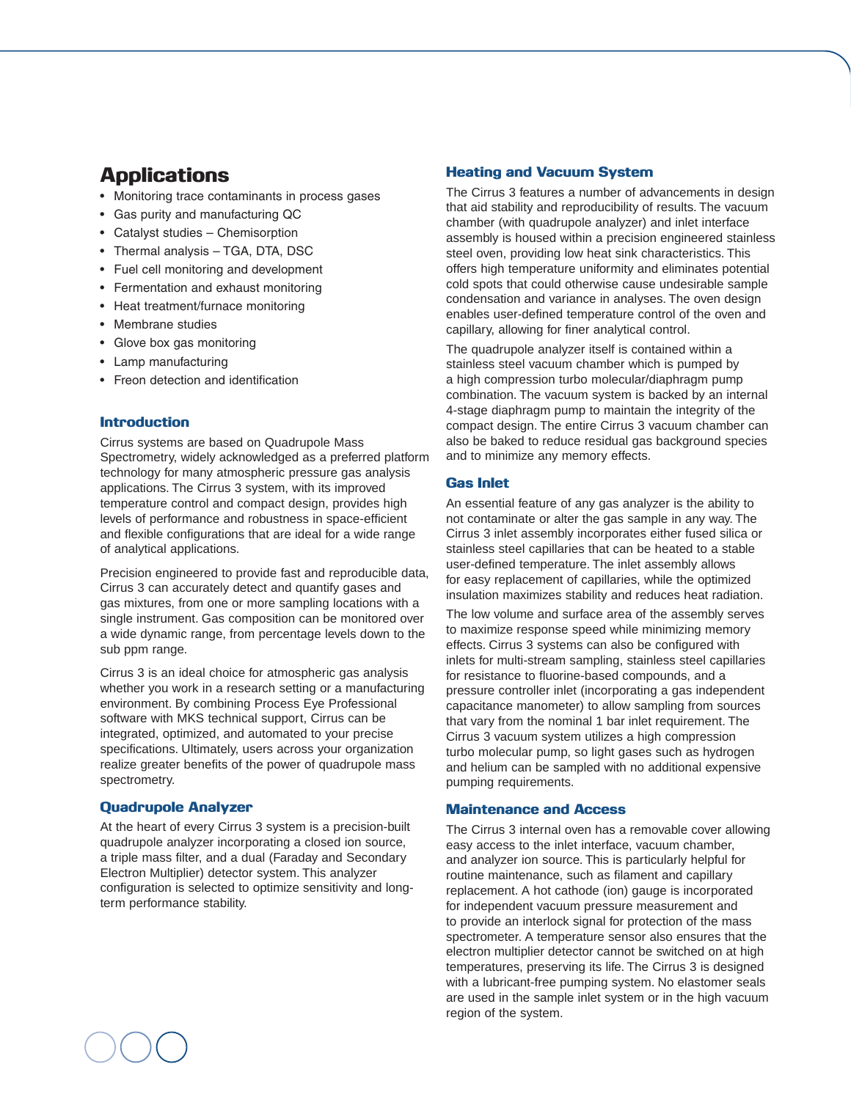## Applications

- Monitoring trace contaminants in process gases
- • Gas purity and manufacturing QC
- Catalyst studies Chemisorption
- Thermal analysis TGA, DTA, DSC
- • Fuel cell monitoring and development
- • Fermentation and exhaust monitoring
- Heat treatment/furnace monitoring
- Membrane studies
- • Glove box gas monitoring
- • Lamp manufacturing
- • Freon detection and identification

#### **Introduction**

Cirrus systems are based on Quadrupole Mass Spectrometry, widely acknowledged as a preferred platform technology for many atmospheric pressure gas analysis applications. The Cirrus 3 system, with its improved temperature control and compact design, provides high levels of performance and robustness in space-efficient and flexible configurations that are ideal for a wide range of analytical applications.

Precision engineered to provide fast and reproducible data, Cirrus 3 can accurately detect and quantify gases and gas mixtures, from one or more sampling locations with a single instrument. Gas composition can be monitored over a wide dynamic range, from percentage levels down to the sub ppm range.

Cirrus 3 is an ideal choice for atmospheric gas analysis whether you work in a research setting or a manufacturing environment. By combining Process Eye Professional software with MKS technical support, Cirrus can be integrated, optimized, and automated to your precise specifications. Ultimately, users across your organization realize greater benefits of the power of quadrupole mass spectrometry.

#### Quadrupole Analyzer

At the heart of every Cirrus 3 system is a precision-built quadrupole analyzer incorporating a closed ion source, a triple mass filter, and a dual (Faraday and Secondary Electron Multiplier) detector system. This analyzer configuration is selected to optimize sensitivity and longterm performance stability.

#### Heating and Vacuum System

The Cirrus 3 features a number of advancements in design that aid stability and reproducibility of results. The vacuum chamber (with quadrupole analyzer) and inlet interface assembly is housed within a precision engineered stainless steel oven, providing low heat sink characteristics. This offers high temperature uniformity and eliminates potential cold spots that could otherwise cause undesirable sample condensation and variance in analyses. The oven design enables user-defined temperature control of the oven and capillary, allowing for finer analytical control.

The quadrupole analyzer itself is contained within a stainless steel vacuum chamber which is pumped by a high compression turbo molecular/diaphragm pump combination. The vacuum system is backed by an internal 4-stage diaphragm pump to maintain the integrity of the compact design. The entire Cirrus 3 vacuum chamber can also be baked to reduce residual gas background species and to minimize any memory effects.

#### Gas Inlet

An essential feature of any gas analyzer is the ability to not contaminate or alter the gas sample in any way. The Cirrus 3 inlet assembly incorporates either fused silica or stainless steel capillaries that can be heated to a stable user-defined temperature. The inlet assembly allows for easy replacement of capillaries, while the optimized insulation maximizes stability and reduces heat radiation.

The low volume and surface area of the assembly serves to maximize response speed while minimizing memory effects. Cirrus 3 systems can also be configured with inlets for multi-stream sampling, stainless steel capillaries for resistance to fluorine-based compounds, and a pressure controller inlet (incorporating a gas independent capacitance manometer) to allow sampling from sources that vary from the nominal 1 bar inlet requirement. The Cirrus 3 vacuum system utilizes a high compression turbo molecular pump, so light gases such as hydrogen and helium can be sampled with no additional expensive pumping requirements.

#### Maintenance and Access

The Cirrus 3 internal oven has a removable cover allowing easy access to the inlet interface, vacuum chamber, and analyzer ion source. This is particularly helpful for routine maintenance, such as filament and capillary replacement. A hot cathode (ion) gauge is incorporated for independent vacuum pressure measurement and to provide an interlock signal for protection of the mass spectrometer. A temperature sensor also ensures that the electron multiplier detector cannot be switched on at high temperatures, preserving its life. The Cirrus 3 is designed with a lubricant-free pumping system. No elastomer seals are used in the sample inlet system or in the high vacuum region of the system.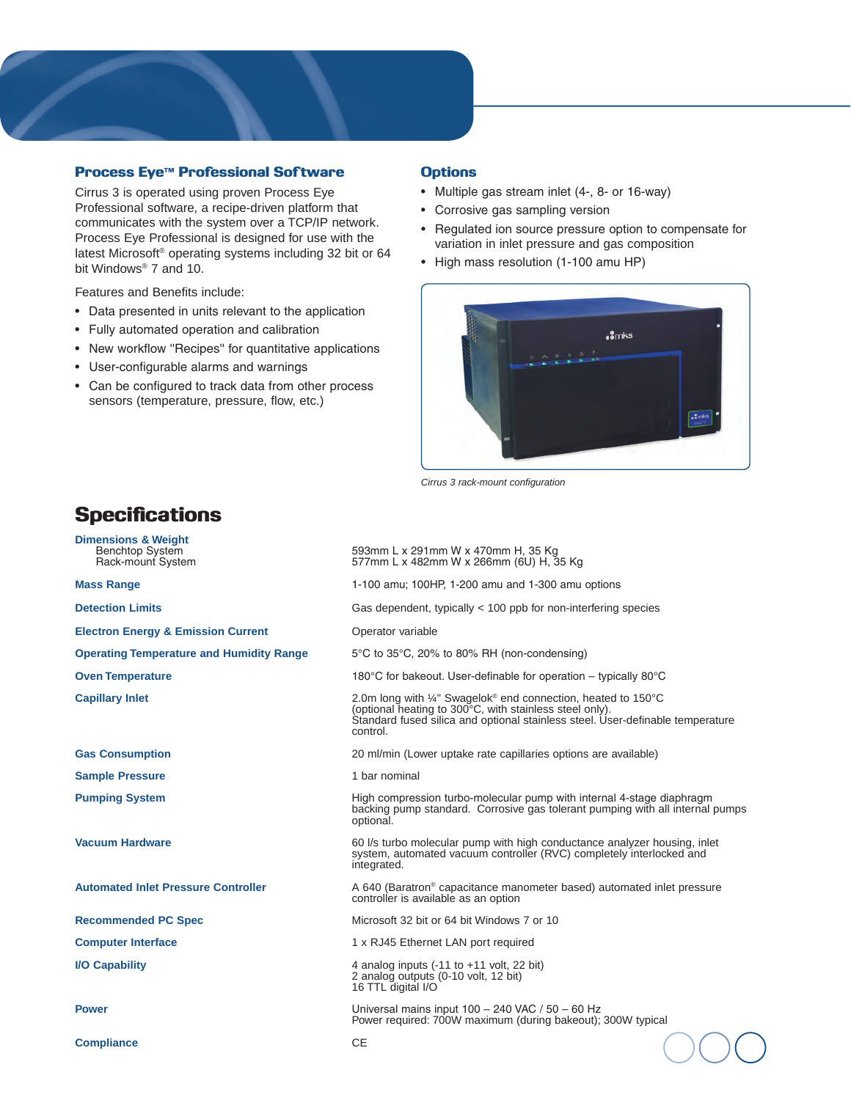#### Process Eye™ Professional Software

Cirrus 3 is operated using proven Process Eye Professional software, a recipe-driven platform that communicates with the system over a TCP/IP network. Process Eye Professional is designed for use with the latest Microsoft® operating systems including 32 bit or 64 bit Windows<sup>®</sup> 7 and 10.

Features and Benefits include:

**Dimensions & Weight**

**Specifications** 

- Data presented in units relevant to the application
- • Fully automated operation and calibration
- New workflow "Recipes" for quantitative applications
- • User-configurable alarms and warnings
- Can be configured to track data from other process sensors (temperature, pressure, flow, etc.)

#### **Options**

- • Multiple gas stream inlet (4-, 8- or 16-way)
- • Corrosive gas sampling version
- • Regulated ion source pressure option to compensate for variation in inlet pressure and gas composition
- • High mass resolution (1-100 amu HP)



*Cirrus 3 rack-mount configuration*

| Benchtop System<br>Rack-mount System            | 593mm L x 291mm W x 470mm H, 35 Kg<br>577mm L x 482mm W x 266mm (6U) H, 35 Kg                                                                                                                                                    |  |
|-------------------------------------------------|----------------------------------------------------------------------------------------------------------------------------------------------------------------------------------------------------------------------------------|--|
| <b>Mass Range</b>                               | 1-100 amu; 100HP, 1-200 amu and 1-300 amu options                                                                                                                                                                                |  |
| <b>Detection Limits</b>                         | Gas dependent, typically $<$ 100 ppb for non-interfering species                                                                                                                                                                 |  |
| <b>Electron Energy &amp; Emission Current</b>   | Operator variable                                                                                                                                                                                                                |  |
| <b>Operating Temperature and Humidity Range</b> | 5°C to 35°C, 20% to 80% RH (non-condensing)                                                                                                                                                                                      |  |
| <b>Oven Temperature</b>                         | 180°C for bakeout. User-definable for operation – typically 80°C                                                                                                                                                                 |  |
| <b>Capillary Inlet</b>                          | 2.0m long with ¼" Swagelok <sup>®</sup> end connection, heated to 150°C<br>(optional heating to 300°C, with stainless steel only).<br>Standard fused silica and optional stainless steel. User-definable temperature<br>control. |  |
| <b>Gas Consumption</b>                          | 20 ml/min (Lower uptake rate capillaries options are available)                                                                                                                                                                  |  |
| <b>Sample Pressure</b>                          | 1 bar nominal                                                                                                                                                                                                                    |  |
| <b>Pumping System</b>                           | High compression turbo-molecular pump with internal 4-stage diaphragm<br>backing pump standard. Corrosive gas tolerant pumping with all internal pumps<br>optional.                                                              |  |
| <b>Vacuum Hardware</b>                          | 60 l/s turbo molecular pump with high conductance analyzer housing, inlet<br>system, automated vacuum controller (RVC) completely interlocked and<br>integrated.                                                                 |  |
| <b>Automated Inlet Pressure Controller</b>      | A 640 (Baratron <sup>®</sup> capacitance manometer based) automated inlet pressure<br>controller is available as an option                                                                                                       |  |
| <b>Recommended PC Spec</b>                      | Microsoft 32 bit or 64 bit Windows 7 or 10                                                                                                                                                                                       |  |
| <b>Computer Interface</b>                       | 1 x RJ45 Ethernet LAN port required                                                                                                                                                                                              |  |
| <b>I/O Capability</b>                           | 4 analog inputs $(-11$ to $+11$ volt, 22 bit)<br>2 analog outputs (0-10 volt, 12 bit)<br>16 TTL digital I/O                                                                                                                      |  |
| <b>Power</b>                                    | Universal mains input 100 - 240 VAC / 50 - 60 Hz<br>Power required: 700W maximum (during bakeout); 300W typical                                                                                                                  |  |
| <b>Compliance</b>                               | <b>CE</b>                                                                                                                                                                                                                        |  |